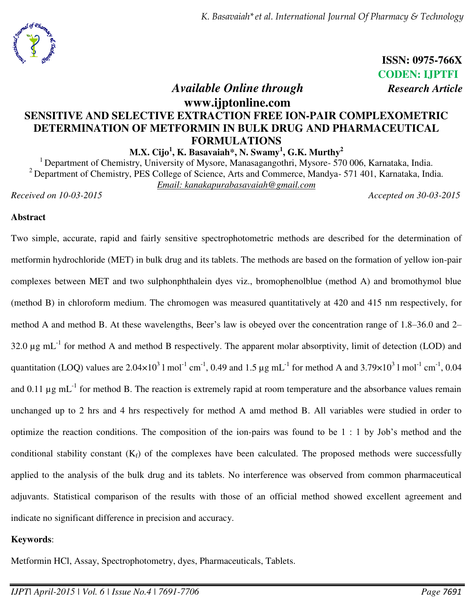

 **ISSN: 0975-766X CODEN: IJPTFI** 

# *Available Online through Research Article*

## **www.ijptonline.com SENSITIVE AND SELECTIVE EXTRACTION FREE ION-PAIR COMPLEXOMETRIC DETERMINATION OF METFORMIN IN BULK DRUG AND PHARMACEUTICAL FORMULATIONS**

**M.X. Cijo<sup>1</sup> , K. Basavaiah\*, N. Swamy<sup>1</sup> , G.K. Murthy<sup>2</sup>**

<sup>1</sup> Department of Chemistry, University of Mysore, Manasagangothri, Mysore- 570 006, Karnataka, India. <sup>2</sup> Department of Chemistry, PES College of Science, Arts and Commerce, Mandya- 571 401, Karnataka, India. *Email: [kanakapurabasavaiah@gmail.com](mailto:kanakapurabasavaiah@gmail.com)* 

*Received on 10-03-2015 Accepted on 30-03-2015*

## **Abstract**

Two simple, accurate, rapid and fairly sensitive spectrophotometric methods are described for the determination of metformin hydrochloride (MET) in bulk drug and its tablets. The methods are based on the formation of yellow ion-pair complexes between MET and two sulphonphthalein dyes viz., bromophenolblue (method A) and bromothymol blue (method B) in chloroform medium. The chromogen was measured quantitatively at 420 and 415 nm respectively, for method A and method B. At these wavelengths, Beer's law is obeyed over the concentration range of 1.8–36.0 and 2– 32.0  $\mu$ g mL<sup>-1</sup> for method A and method B respectively. The apparent molar absorptivity, limit of detection (LOD) and quantitation (LOQ) values are  $2.04\times10^3$  l mol<sup>-1</sup> cm<sup>-1</sup>, 0.49 and 1.5 µg mL<sup>-1</sup> for method A and 3.79×10<sup>3</sup> l mol<sup>-1</sup> cm<sup>-1</sup>, 0.04 and 0.11  $\mu$ g mL<sup>-1</sup> for method B. The reaction is extremely rapid at room temperature and the absorbance values remain unchanged up to 2 hrs and 4 hrs respectively for method A amd method B. All variables were studied in order to optimize the reaction conditions. The composition of the ion-pairs was found to be 1 : 1 by Job's method and the conditional stability constant  $(K_f)$  of the complexes have been calculated. The proposed methods were successfully applied to the analysis of the bulk drug and its tablets. No interference was observed from common pharmaceutical adjuvants. Statistical comparison of the results with those of an official method showed excellent agreement and indicate no significant difference in precision and accuracy.

## **Keywords**:

Metformin HCl, Assay, Spectrophotometry, dyes, Pharmaceuticals, Tablets.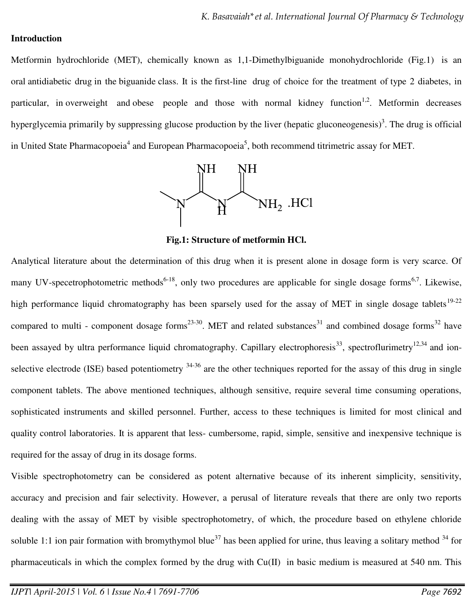## **Introduction**

Metformin hydrochloride (MET), chemically known as 1,1-Dimethylbiguanide monohydrochloride (Fig.1) is an oral [antidiabetic drug](http://en.wikipedia.org/wiki/Antidiabetic_drug) in the [biguanide](http://en.wikipedia.org/wiki/Biguanide) class. It is the [first-line](http://en.wikipedia.org/wiki/First-line_treatment) drug of choice for the treatment of [type 2 diabetes,](http://en.wikipedia.org/wiki/Diabetes_mellitus_type_2) in particular, in [overweight](http://en.wikipedia.org/wiki/Overweight) and [obese](http://en.wikipedia.org/wiki/Obesity) people and those with normal kidney function<sup>1,2</sup>. Metformin decreases hyperglycemia primarily by suppressing glucose production by the liver (hepatic [gluconeogenesis\)](http://en.wikipedia.org/wiki/Gluconeogenesis)<sup>3</sup>. The drug is official in United State Pharmacopoeia<sup>4</sup> and European Pharmacopoeia<sup>5</sup>, both recommend titrimetric assay for MET.



**Fig.1: Structure of metformin HCl.**

Analytical literature about the determination of this drug when it is present alone in dosage form is very scarce. Of many UV-specetrophotometric methods<sup>6-18</sup>, only two procedures are applicable for single dosage forms<sup>6,7</sup>. Likewise, high performance liquid chromatography has been sparsely used for the assay of MET in single dosage tablets<sup>19-22</sup> compared to multi - component dosage forms<sup>23-30</sup>. MET and related substances<sup>31</sup> and combined dosage forms<sup>32</sup> have been assayed by ultra performance liquid chromatography. Capillary electrophoresis<sup>33</sup>, spectroflurimetry<sup>12,34</sup> and ionselective electrode (ISE) based potentiometry  $34-36$  are the other techniques reported for the assay of this drug in single component tablets. The above mentioned techniques, although sensitive, require several time consuming operations, sophisticated instruments and skilled personnel. Further, access to these techniques is limited for most clinical and quality control laboratories. It is apparent that less- cumbersome, rapid, simple, sensitive and inexpensive technique is required for the assay of drug in its dosage forms.

Visible spectrophotometry can be considered as potent alternative because of its inherent simplicity, sensitivity, accuracy and precision and fair selectivity. However, a perusal of literature reveals that there are only two reports dealing with the assay of MET by visible spectrophotometry, of which, the procedure based on ethylene chloride soluble 1:1 ion pair formation with bromythymol blue<sup>37</sup> has been applied for urine, thus leaving a solitary method  $34$  for pharmaceuticals in which the complex formed by the drug with Cu(II) in basic medium is measured at 540 nm. This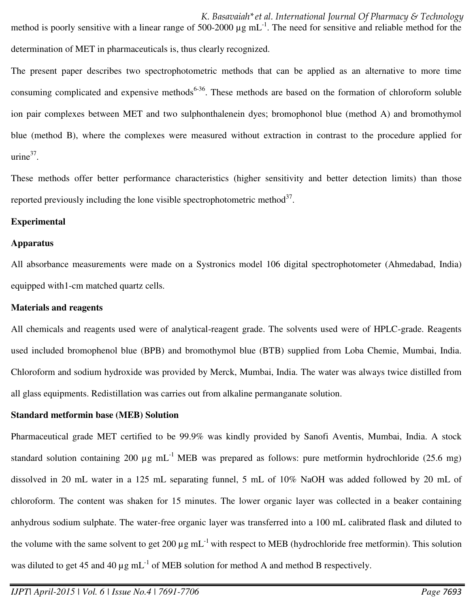*K. Basavaiah\*et al. International Journal Of Pharmacy & Technology*  method is poorly sensitive with a linear range of 500-2000  $\mu$ g mL<sup>-1</sup>. The need for sensitive and reliable method for the determination of MET in pharmaceuticals is, thus clearly recognized.

The present paper describes two spectrophotometric methods that can be applied as an alternative to more time consuming complicated and expensive methods<sup> $6-36$ </sup>. These methods are based on the formation of chloroform soluble ion pair complexes between MET and two sulphonthalenein dyes; bromophonol blue (method A) and bromothymol blue (method B), where the complexes were measured without extraction in contrast to the procedure applied for  $urine<sup>37</sup>$ .

These methods offer better performance characteristics (higher sensitivity and better detection limits) than those reported previously including the lone visible spectrophotometric method $3^3$ .

#### **Experimental**

#### **Apparatus**

All absorbance measurements were made on a Systronics model 106 digital spectrophotometer (Ahmedabad, India) equipped with1-cm matched quartz cells.

#### **Materials and reagents**

All chemicals and reagents used were of analytical-reagent grade. The solvents used were of HPLC-grade. Reagents used included bromophenol blue (BPB) and bromothymol blue (BTB) supplied from Loba Chemie, Mumbai, India. Chloroform and sodium hydroxide was provided by Merck, Mumbai, India. The water was always twice distilled from all glass equipments. Redistillation was carries out from alkaline permanganate solution.

#### **Standard metformin base (MEB) Solution**

Pharmaceutical grade MET certified to be 99.9% was kindly provided by Sanofi Aventis, Mumbai, India. A stock standard solution containing 200  $\mu$ g mL<sup>-1</sup> MEB was prepared as follows: pure metformin hydrochloride (25.6 mg) dissolved in 20 mL water in a 125 mL separating funnel, 5 mL of 10% NaOH was added followed by 20 mL of chloroform. The content was shaken for 15 minutes. The lower organic layer was collected in a beaker containing anhydrous sodium sulphate. The water-free organic layer was transferred into a 100 mL calibrated flask and diluted to the volume with the same solvent to get 200  $\mu$ g mL<sup>-1</sup> with respect to MEB (hydrochloride free metformin). This solution was diluted to get 45 and 40  $\mu$ g mL<sup>-1</sup> of MEB solution for method A and method B respectively.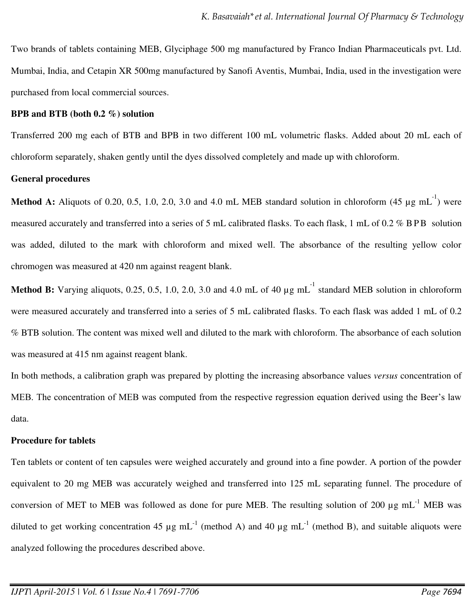Two brands of tablets containing MEB, Glyciphage 500 mg manufactured by Franco Indian Pharmaceuticals pvt. Ltd. Mumbai, India, and Cetapin XR 500mg manufactured by Sanofi Aventis, Mumbai, India, used in the investigation were purchased from local commercial sources.

#### **BPB and BTB (both 0.2 %) solution**

Transferred 200 mg each of BTB and BPB in two different 100 mL volumetric flasks. Added about 20 mL each of chloroform separately, shaken gently until the dyes dissolved completely and made up with chloroform.

## **General procedures**

**Method A:** Aliquots of 0.20, 0.5, 1.0, 2.0, 3.0 and 4.0 mL MEB standard solution in chloroform  $(45 \mu g \text{ mL}^{-1})$  were measured accurately and transferred into a series of 5 mL calibrated flasks. To each flask, 1 mL of 0.2 % BPB solution was added, diluted to the mark with chloroform and mixed well. The absorbance of the resulting yellow color chromogen was measured at 420 nm against reagent blank.

**Method B:** Varying aliquots, 0.25, 0.5, 1.0, 2.0, 3.0 and 4.0 mL of 40  $\mu$ g mL<sup>-1</sup> standard MEB solution in chloroform were measured accurately and transferred into a series of 5 mL calibrated flasks. To each flask was added 1 mL of 0.2 % BTB solution. The content was mixed well and diluted to the mark with chloroform. The absorbance of each solution was measured at 415 nm against reagent blank.

In both methods, a calibration graph was prepared by plotting the increasing absorbance values *versus* concentration of MEB. The concentration of MEB was computed from the respective regression equation derived using the Beer's law data.

#### **Procedure for tablets**

Ten tablets or content of ten capsules were weighed accurately and ground into a fine powder. A portion of the powder equivalent to 20 mg MEB was accurately weighed and transferred into 125 mL separating funnel. The procedure of conversion of MET to MEB was followed as done for pure MEB. The resulting solution of 200  $\mu$ g mL<sup>-1</sup> MEB was diluted to get working concentration 45  $\mu$ g mL<sup>-1</sup> (method A) and 40  $\mu$ g mL<sup>-1</sup> (method B), and suitable aliquots were analyzed following the procedures described above.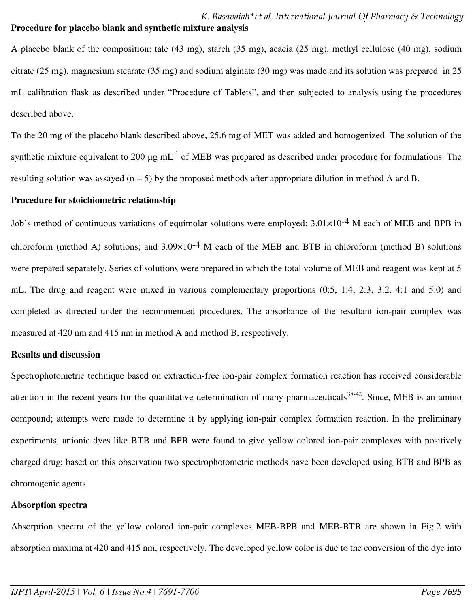A placebo blank of the composition: talc (43 mg), starch (35 mg), acacia (25 mg), methyl cellulose (40 mg), sodium citrate (25 mg), magnesium stearate (35 mg) and sodium alginate (30 mg) was made and its solution was prepared in 25 mL calibration flask as described under "Procedure of Tablets", and then subjected to analysis using the procedures described above.

To the 20 mg of the placebo blank described above, 25.6 mg of MET was added and homogenized. The solution of the synthetic mixture equivalent to 200  $\mu$ g mL<sup>-1</sup> of MEB was prepared as described under procedure for formulations. The resulting solution was assayed (n = 5) by the proposed methods after appropriate dilution in method A and B.

#### **Procedure for stoichiometric relationship**

Job's method of continuous variations of equimolar solutions were employed: 3.01×10-4 M each of MEB and BPB in chloroform (method A) solutions; and  $3.09\times10^{-4}$  M each of the MEB and BTB in chloroform (method B) solutions were prepared separately. Series of solutions were prepared in which the total volume of MEB and reagent was kept at 5 mL. The drug and reagent were mixed in various complementary proportions (0:5, 1:4, 2:3, 3:2. 4:1 and 5:0) and completed as directed under the recommended procedures. The absorbance of the resultant ion-pair complex was measured at 420 nm and 415 nm in method A and method B, respectively.

#### **Results and discussion**

Spectrophotometric technique based on extraction-free ion-pair complex formation reaction has received considerable attention in the recent years for the quantitative determination of many pharmaceuticals  $38-42$ . Since, MEB is an amino compound; attempts were made to determine it by applying ion-pair complex formation reaction. In the preliminary experiments, anionic dyes like BTB and BPB were found to give yellow colored ion-pair complexes with positively charged drug; based on this observation two spectrophotometric methods have been developed using BTB and BPB as chromogenic agents.

#### **Absorption spectra**

Absorption spectra of the yellow colored ion-pair complexes MEB-BPB and MEB-BTB are shown in Fig.2 with absorption maxima at 420 and 415 nm, respectively. The developed yellow color is due to the conversion of the dye into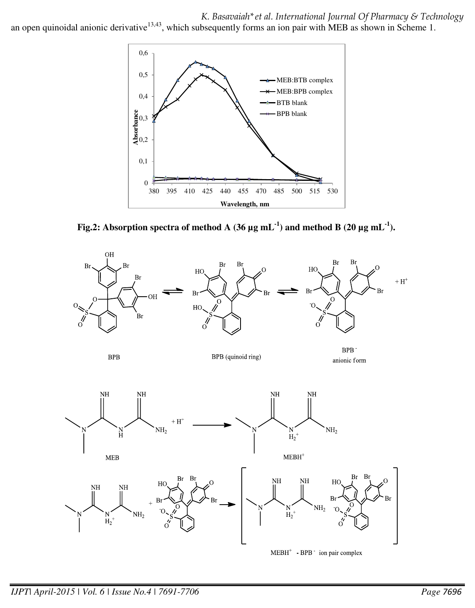*K. Basavaiah\*et al. International Journal Of Pharmacy & Technology* 

an open quinoidal anionic derivative<sup>13,43</sup>, which subsequently forms an ion pair with MEB as shown in Scheme 1.



**Fig.2:** Absorption spectra of method A (36  $\mu$ g mL<sup>-1</sup>) and method B (20  $\mu$ g mL<sup>-1</sup>).

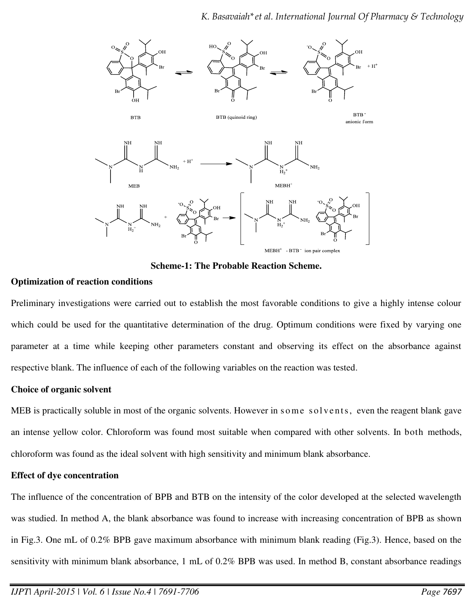

**Scheme-1: The Probable Reaction Scheme.** 

## **Optimization of reaction conditions**

Preliminary investigations were carried out to establish the most favorable conditions to give a highly intense colour which could be used for the quantitative determination of the drug. Optimum conditions were fixed by varying one parameter at a time while keeping other parameters constant and observing its effect on the absorbance against respective blank. The influence of each of the following variables on the reaction was tested.

## **Choice of organic solvent**

MEB is practically soluble in most of the organic solvents. However in some solvents, even the reagent blank gave an intense yellow color. Chloroform was found most suitable when compared with other solvents. In both methods, chloroform was found as the ideal solvent with high sensitivity and minimum blank absorbance.

## **Effect of dye concentration**

The influence of the concentration of BPB and BTB on the intensity of the color developed at the selected wavelength was studied. In method A, the blank absorbance was found to increase with increasing concentration of BPB as shown in Fig.3. One mL of 0.2% BPB gave maximum absorbance with minimum blank reading (Fig.3). Hence, based on the sensitivity with minimum blank absorbance, 1 mL of 0.2% BPB was used. In method B, constant absorbance readings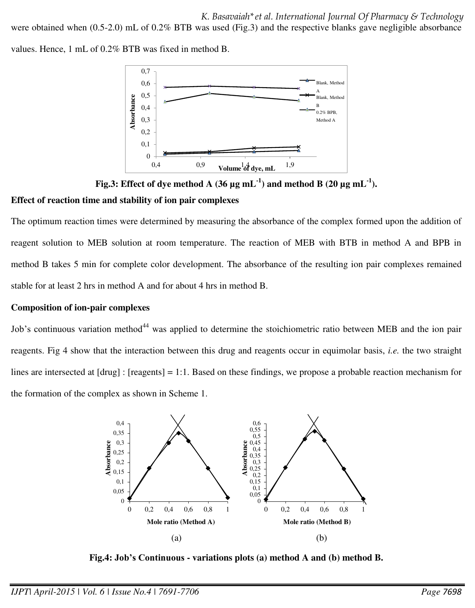*K. Basavaiah\*et al. International Journal Of Pharmacy & Technology* 

were obtained when (0.5-2.0) mL of 0.2% BTB was used (Fig.3) and the respective blanks gave negligible absorbance

values. Hence, 1 mL of 0.2% BTB was fixed in method B.



**Fig.3:** Effect of dye method A (36  $\mu$ g mL<sup>-1</sup>) and method B (20  $\mu$ g mL<sup>-1</sup>).

## **Effect of reaction time and stability of ion pair complexes**

The optimum reaction times were determined by measuring the absorbance of the complex formed upon the addition of reagent solution to MEB solution at room temperature. The reaction of MEB with BTB in method A and BPB in method B takes 5 min for complete color development. The absorbance of the resulting ion pair complexes remained stable for at least 2 hrs in method A and for about 4 hrs in method B.

## **Composition of ion-pair complexes**

Job's continuous variation method<sup>44</sup> was applied to determine the stoichiometric ratio between MEB and the ion pair reagents. Fig 4 show that the interaction between this drug and reagents occur in equimolar basis, *i.e.* the two straight lines are intersected at [drug] : [reagents] = 1:1. Based on these findings, we propose a probable reaction mechanism for the formation of the complex as shown in Scheme 1.



**Fig.4: Job's Continuous - variations plots (a) method A and (b) method B.**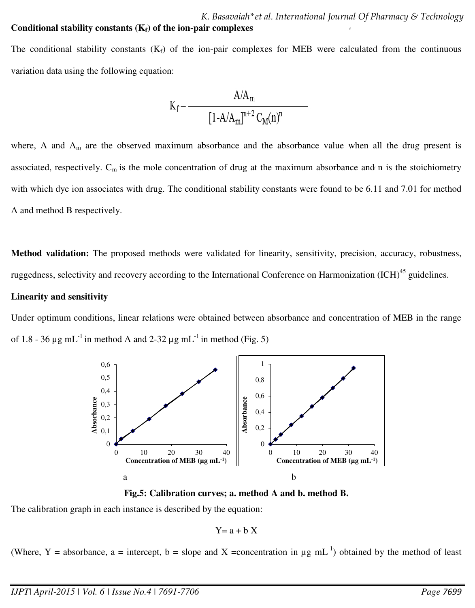The conditional stability constants  $(K_f)$  of the ion-pair complexes for MEB were calculated from the continuous variation data using the following equation:

$$
K_f = \frac{A/A_m}{\left[1 - A/A_m\right]^{n+2} C_M(n)^n}
$$

associated, respectively.  $C_m$  is the mole concentration of drug at the maximum absorbance and n is the stoichiometry where, A and  $A_m$  are the observed maximum absorbance and the absorbance value when all the drug present is with which dye ion associates with drug. The conditional stability constants were found to be 6.11 and 7.01 for method A and method B respectively.

**Method validation:** The proposed methods were validated for linearity, sensitivity, precision, accuracy, robustness, ruggedness, selectivity and recovery according to the International Conference on Harmonization (ICH)<sup>45</sup> guidelines.

## **Linearity and sensitivity**

Under optimum conditions, linear relations were obtained between absorbance and concentration of MEB in the range of 1.8 - 36  $\mu$ g mL<sup>-1</sup> in method A and 2-32  $\mu$ g mL<sup>-1</sup> in method (Fig. 5)



**Fig.5: Calibration curves; a. method A and b. method B.**

The calibration graph in each instance is described by the equation:

$$
Y = a + b X
$$

(Where, Y = absorbance, a = intercept, b = slope and X = concentration in  $\mu$ g mL<sup>-1</sup>) obtained by the method of least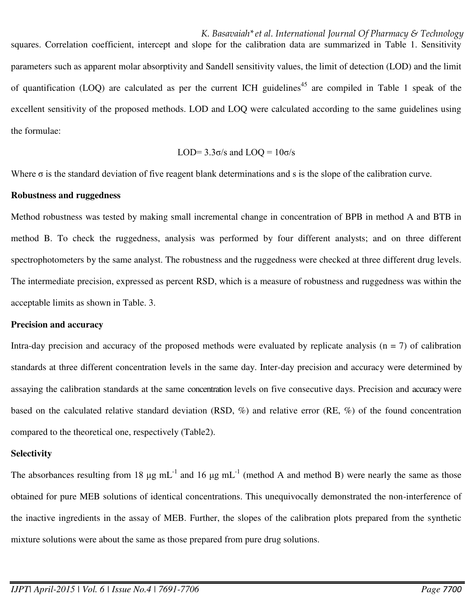*K. Basavaiah\*et al. International Journal Of Pharmacy & Technology*  squares. Correlation coefficient, intercept and slope for the calibration data are summarized in Table 1. Sensitivity parameters such as apparent molar absorptivity and Sandell sensitivity values, the limit of detection (LOD) and the limit of quantification (LOQ) are calculated as per the current ICH guidelines<sup>45</sup> are compiled in Table 1 speak of the excellent sensitivity of the proposed methods. LOD and LOQ were calculated according to the same guidelines using the formulae:

$$
LOD=3.3\sigma/s \text{ and } LOQ=10\sigma/s
$$

Where  $\sigma$  is the standard deviation of five reagent blank determinations and s is the slope of the calibration curve.

#### **Robustness and ruggedness**

Method robustness was tested by making small incremental change in concentration of BPB in method A and BTB in method B. To check the ruggedness, analysis was performed by four different analysts; and on three different spectrophotometers by the same analyst. The robustness and the ruggedness were checked at three different drug levels. The intermediate precision, expressed as percent RSD, which is a measure of robustness and ruggedness was within the acceptable limits as shown in Table. 3.

#### **Precision and accuracy**

Intra-day precision and accuracy of the proposed methods were evaluated by replicate analysis ( $n = 7$ ) of calibration standards at three different concentration levels in the same day. Inter-day precision and accuracy were determined by assaying the calibration standards at the same concentration levels on five consecutive days. Precision and accuracy were based on the calculated relative standard deviation (RSD, %) and relative error (RE, %) of the found concentration compared to the theoretical one, respectively (Table2).

#### **Selectivity**

The absorbances resulting from 18  $\mu$ g mL<sup>-1</sup> and 16  $\mu$ g mL<sup>-1</sup> (method A and method B) were nearly the same as those obtained for pure MEB solutions of identical concentrations. This unequivocally demonstrated the non-interference of the inactive ingredients in the assay of MEB. Further, the slopes of the calibration plots prepared from the synthetic mixture solutions were about the same as those prepared from pure drug solutions.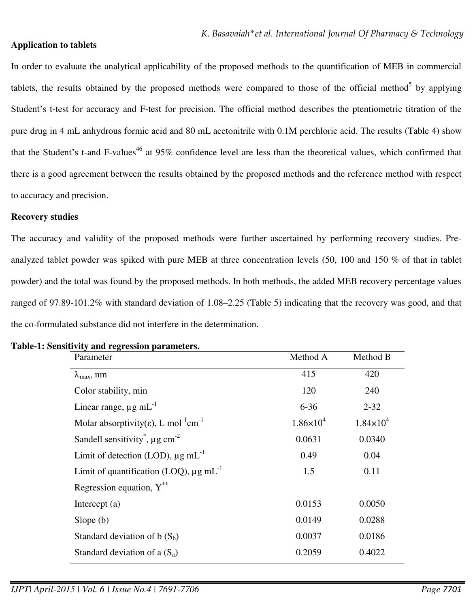## **Application to tablets**

In order to evaluate the analytical applicability of the proposed methods to the quantification of MEB in commercial tablets, the results obtained by the proposed methods were compared to those of the official method<sup>5</sup> by applying Student's t-test for accuracy and F-test for precision. The official method describes the ptentiometric titration of the pure drug in 4 mL anhydrous formic acid and 80 mL acetonitrile with 0.1M perchloric acid. The results (Table 4) show that the Student's t-and F-values<sup>46</sup> at 95% confidence level are less than the theoretical values, which confirmed that there is a good agreement between the results obtained by the proposed methods and the reference method with respect to accuracy and precision.

## **Recovery studies**

The accuracy and validity of the proposed methods were further ascertained by performing recovery studies. Preanalyzed tablet powder was spiked with pure MEB at three concentration levels (50, 100 and 150 % of that in tablet powder) and the total was found by the proposed methods. In both methods, the added MEB recovery percentage values ranged of 97.89-101.2% with standard deviation of 1.08–2.25 (Table 5) indicating that the recovery was good, and that the co-formulated substance did not interfere in the determination.

| Parameter                                                                 | Method A             | Method B             |
|---------------------------------------------------------------------------|----------------------|----------------------|
| $\lambda_{\text{max}}$ , nm                                               | 415                  | 420                  |
| Color stability, min                                                      | 120                  | 240                  |
| Linear range, $\mu$ g mL <sup>-1</sup>                                    | $6 - 36$             | $2 - 32$             |
| Molar absorptivity( $\varepsilon$ ), L mol <sup>-1</sup> cm <sup>-1</sup> | $1.86 \times 10^{4}$ | $1.84 \times 10^{4}$ |
| Sandell sensitivity <sup>*</sup> , $\mu$ g cm <sup>-2</sup>               | 0.0631               | 0.0340               |
| Limit of detection (LOD), $\mu$ g mL <sup>-1</sup>                        | 0.49                 | 0.04                 |
| Limit of quantification (LOQ), $\mu$ g mL <sup>-1</sup>                   | 1.5                  | 0.11                 |
| Regression equation, $Y^{**}$                                             |                      |                      |
| Intercept $(a)$                                                           | 0.0153               | 0.0050               |
| Slope $(b)$                                                               | 0.0149               | 0.0288               |
| Standard deviation of b $(S_b)$                                           | 0.0037               | 0.0186               |
| Standard deviation of a $(S_a)$                                           | 0.2059               | 0.4022               |

#### **Table-1: Sensitivity and regression parameters.**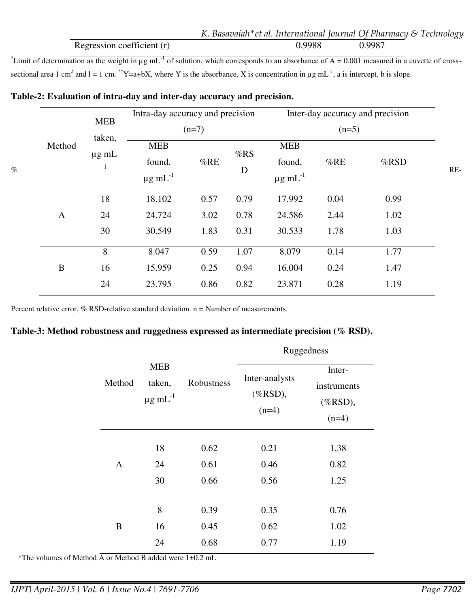|                            | K. Basavaiah* et al. International Journal Of Pharmacy & Technology |        |  |
|----------------------------|---------------------------------------------------------------------|--------|--|
| Regression coefficient (r) | 0.9988                                                              | 0.9987 |  |

<sup>\*</sup>Limit of determination as the weight in  $\mu$ g mL<sup>-1</sup> of solution, which corresponds to an absorbance of A = 0.001 measured in a cuvette of crosssectional area 1 cm<sup>2</sup> and 1 = 1 cm. \*\*Y=a+bX, where Y is the absorbance, X is concentration in  $\mu$ g mL<sup>-1</sup>, a is intercept, b is slope.

| $\%$ |              | <b>MEB</b><br>taken,<br>$\mu$ g m $L^-$ | Intra-day accuracy and precision<br>$(n=7)$ |               |                   | Inter-day accuracy and precision   |      |      |     |
|------|--------------|-----------------------------------------|---------------------------------------------|---------------|-------------------|------------------------------------|------|------|-----|
|      |              |                                         |                                             |               |                   |                                    |      |      |     |
|      | Method       |                                         | <b>MEB</b>                                  | %RE<br>found, | <b>MEB</b><br>%RS |                                    |      |      |     |
|      |              |                                         | $\mu$ g mL <sup>-1</sup>                    |               | D                 | found,<br>$\mu$ g mL <sup>-1</sup> | %RE  | %RSD | RE- |
|      |              | 18                                      | 18.102                                      | 0.57          | 0.79              | 17.992                             | 0.04 | 0.99 |     |
|      | A            | 24                                      | 24.724                                      | 3.02          | 0.78              | 24.586                             | 2.44 | 1.02 |     |
|      |              | 30                                      | 30.549                                      | 1.83          | 0.31              | 30.533                             | 1.78 | 1.03 |     |
|      |              | 8                                       | 8.047                                       | 0.59          | 1.07              | 8.079                              | 0.14 | 1.77 |     |
|      | $\, {\bf B}$ | 16                                      | 15.959                                      | 0.25          | 0.94              | 16.004                             | 0.24 | 1.47 |     |
|      |              | 24                                      | 23.795                                      | 0.86          | 0.82              | 23.871                             | 0.28 | 1.19 |     |
|      |              |                                         |                                             |               |                   |                                    |      |      |     |

## **Table-2: Evaluation of intra-day and inter-day accuracy and precision.**

Percent relative error,  $%$  RSD-relative standard deviation.  $n =$  Number of measurements.

## **Table-3: Method robustness and ruggedness expressed as intermediate precision (% RSD).**

|              |                                            | Robustness | Ruggedness     |             |  |  |
|--------------|--------------------------------------------|------------|----------------|-------------|--|--|
|              | <b>MEB</b><br>taken,<br>$\mu$ g mL $^{-1}$ |            | Inter-analysts | Inter-      |  |  |
| Method       |                                            |            | $(%RSD)$ ,     | instruments |  |  |
|              |                                            |            | $(n=4)$        | $(%RSD)$ ,  |  |  |
|              |                                            |            |                | $(n=4)$     |  |  |
|              | 18                                         | 0.62       | 0.21           | 1.38        |  |  |
| $\mathbf{A}$ | 24                                         | 0.61       | 0.46           | 0.82        |  |  |
|              | 30                                         | 0.66       | 0.56           | 1.25        |  |  |
|              |                                            |            |                |             |  |  |
|              | 8                                          | 0.39       | 0.35           | 0.76        |  |  |
| B            | 16                                         | 0.45       | 0.62           | 1.02        |  |  |
|              | 24                                         | 0.68       | 0.77           | 1.19        |  |  |

\*The volumes of Method A or Method B added were 1±0.2 mL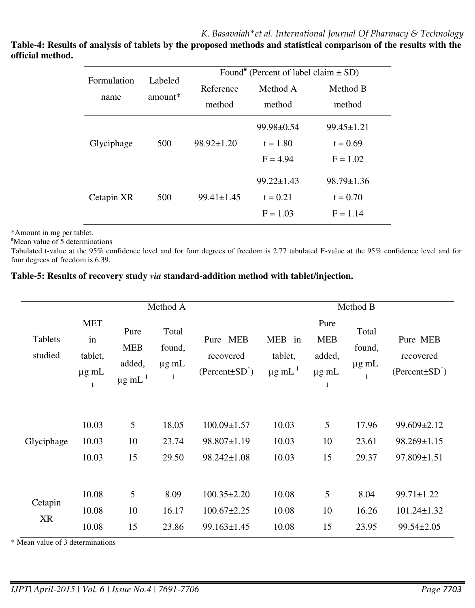**Table-4: Results of analysis of tablets by the proposed methods and statistical comparison of the results with the official method.** 

| Formulation | Labeled           | Found <sup>#</sup> (Percent of label claim $\pm$ SD) |                       |                  |  |  |
|-------------|-------------------|------------------------------------------------------|-----------------------|------------------|--|--|
|             | $amount*$<br>name |                                                      | Method A<br>Reference |                  |  |  |
|             |                   |                                                      | method<br>method      |                  |  |  |
|             |                   |                                                      | $99.98 \pm 0.54$      | $99.45 \pm 1.21$ |  |  |
| Glyciphage  | 500               | $98.92 \pm 1.20$                                     | $t = 1.80$            | $t = 0.69$       |  |  |
|             |                   |                                                      | $F = 4.94$            | $F = 1.02$       |  |  |
|             |                   |                                                      | $99.22 \pm 1.43$      | $98.79 \pm 1.36$ |  |  |
| Cetapin XR  | 500               | $99.41 \pm 1.45$                                     | $t = 0.21$            | $t = 0.70$       |  |  |
|             |                   |                                                      | $F = 1.03$            | $F = 1.14$       |  |  |

\*Amount in mg per tablet.

#Mean value of 5 determinations

Tabulated t-value at the 95% confidence level and for four degrees of freedom is 2.77 tabulated F-value at the 95% confidence level and for four degrees of freedom is 6.39.

## **Table-5: Results of recovery study** *via* **standard-addition method with tablet/injection.**

| Method A                  |                                                     |                                                          |                                          | Method B                                              |                                               |                                                 |                                    |                                                           |
|---------------------------|-----------------------------------------------------|----------------------------------------------------------|------------------------------------------|-------------------------------------------------------|-----------------------------------------------|-------------------------------------------------|------------------------------------|-----------------------------------------------------------|
| <b>Tablets</b><br>studied | <b>MET</b><br>in<br>tablet,<br>$\mu$ g m $L^-$<br>1 | Pure<br><b>MEB</b><br>added,<br>$\mu$ g mL <sup>-1</sup> | Total<br>found,<br>$\mu$ g m $L^-$<br>-1 | Pure MEB<br>recovered<br>$(Percent \pm SD^*)$         | MEB in<br>tablet,<br>$\mu$ g mL <sup>-1</sup> | Pure<br><b>MEB</b><br>added,<br>$\mu$ g m $L^-$ | Total<br>found,<br>$\mu$ g m $L^-$ | Pure MEB<br>recovered<br>$(Percent \pm SD^*)$             |
| Glyciphage                | 10.03<br>10.03<br>10.03                             | 5<br>10<br>15                                            | 18.05<br>23.74<br>29.50                  | $100.09 \pm 1.57$<br>98.807±1.19<br>98.242±1.08       | 10.03<br>10.03<br>10.03                       | 5<br>10<br>15                                   | 17.96<br>23.61<br>29.37            | 99.609±2.12<br>98.269±1.15<br>97.809±1.51                 |
| Cetapin<br>XR             | 10.08<br>10.08<br>10.08                             | 5<br>10<br>15                                            | 8.09<br>16.17<br>23.86                   | $100.35 \pm 2.20$<br>$100.67 \pm 2.25$<br>99.163±1.45 | 10.08<br>10.08<br>10.08                       | 5<br>10<br>15                                   | 8.04<br>16.26<br>23.95             | $99.71 \pm 1.22$<br>$101.24 \pm 1.32$<br>$99.54 \pm 2.05$ |

\* Mean value of 3 determinations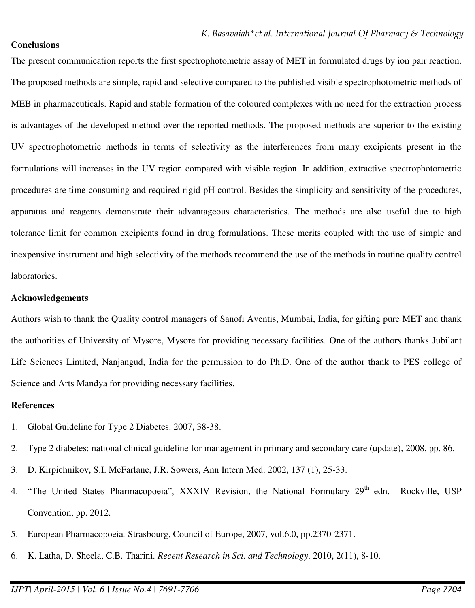## **Conclusions**

The present communication reports the first spectrophotometric assay of MET in formulated drugs by ion pair reaction. The proposed methods are simple, rapid and selective compared to the published visible spectrophotometric methods of MEB in pharmaceuticals. Rapid and stable formation of the coloured complexes with no need for the extraction process is advantages of the developed method over the reported methods. The proposed methods are superior to the existing UV spectrophotometric methods in terms of selectivity as the interferences from many excipients present in the formulations will increases in the UV region compared with visible region. In addition, extractive spectrophotometric procedures are time consuming and required rigid pH control. Besides the simplicity and sensitivity of the procedures, apparatus and reagents demonstrate their advantageous characteristics. The methods are also useful due to high tolerance limit for common excipients found in drug formulations. These merits coupled with the use of simple and inexpensive instrument and high selectivity of the methods recommend the use of the methods in routine quality control laboratories.

## **Acknowledgements**

Authors wish to thank the Quality control managers of Sanofi Aventis, Mumbai, India, for gifting pure MET and thank the authorities of University of Mysore, Mysore for providing necessary facilities. One of the authors thanks Jubilant Life Sciences Limited, Nanjangud, India for the permission to do Ph.D. One of the author thank to PES college of Science and Arts Mandya for providing necessary facilities.

## **References**

- 1. [Global Guideline for Type 2 Diabetes.](http://www.idf.org/Global_guideline) 2007, 38-38.
- 2. [Type 2 diabetes: national clinical guideline for management in primary and secondary care \(update\),](http://www.nice.org.uk/nicemedia/pdf/CG66FullGuideline0509.pdf) 2008, pp. 86.
- 3. D. Kirpichnikov, S.I. McFarlane, J.R. Sowers, Ann Intern Med. 2002, 137 (1), 25-33.
- 4. "The United States Pharmacopoeia", XXXIV Revision, the National Formulary 29<sup>th</sup> edn. Rockville, USP Convention, pp. 2012.
- 5. European Pharmacopoeia*,* Strasbourg, Council of Europe, 2007, vol.6.0, pp.2370-2371.
- 6. K. Latha, D. Sheela, C.B. Tharini. *Recent Research in Sci. and Technology*. 2010, 2(11), 8-10.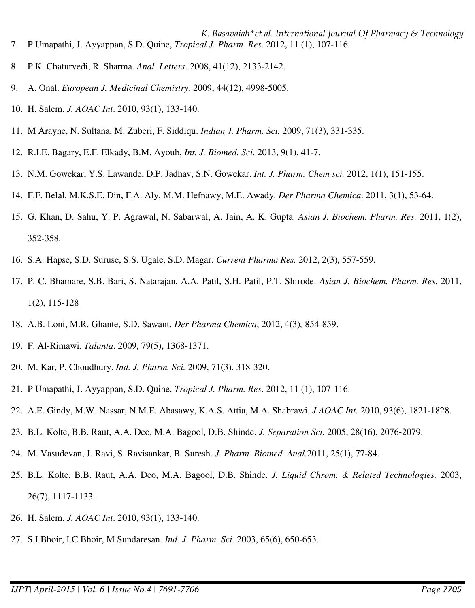- *K. Basavaiah\*et al. International Journal Of Pharmacy & Technology*  7. P Umapathi, J. Ayyappan, S.D. Quine, *Tropical J. Pharm. Res*. 2012, 11 (1), 107-116.
- 8. P.K. Chaturvedi, R. Sharma. *Anal. Letters*. 2008, 41(12), 2133-2142.
- 9. A. Onal. *European J. Medicinal Chemistry*. 2009, 44(12), 4998-5005.
- 10. H. Salem. *J. AOAC Int*. 2010, 93(1), 133-140.
- 11. M Arayne, N. Sultana, M. Zuberi, F. Siddiqu. *Indian J. Pharm. Sci.* 2009, 71(3), 331-335.
- 12. R.I.E. Bagary, E.F. Elkady, B.M. Ayoub, *Int. J. Biomed. Sci.* 2013, 9(1), 41-7.
- 13. N.M. Gowekar, Y.S. Lawande, D.P. Jadhav, S.N. Gowekar. *Int. J. Pharm. Chem sci.* 2012, 1(1), 151-155.
- 14. F.F. Belal, M.K.S.E. Din, F.A. Aly, M.M. Hefnawy, M.E. Awady. *Der Pharma Chemica*. 2011, 3(1), 53-64.
- 15. G. Khan, D. Sahu, Y. P. Agrawal, N. Sabarwal, A. Jain, A. K. Gupta. *Asian J. Biochem. Pharm. Res.* 2011, 1(2), 352-358.
- 16. S.A. Hapse, S.D. Suruse, S.S. Ugale, S.D. Magar. *Current Pharma Res.* 2012, 2(3), 557-559.
- 17. P. C. Bhamare, S.B. Bari, S. Natarajan, A.A. Patil, S.H. Patil, P.T. Shirode. *Asian J. Biochem. Pharm. Res*. 2011, 1(2), 115-128
- 18. A.B. Loni, M.R. Ghante, S.D. Sawant. *Der Pharma Chemica*, 2012, 4(3)*,* 854-859.
- 19. F. Al-Rimawi*. Talanta*. 2009, 79(5), 1368-1371.
- 20. M. Kar, P. Choudhury. *Ind. J. Pharm. Sci.* 2009, 71(3). 318-320.
- 21. P Umapathi, J. Ayyappan, S.D. Quine, *Tropical J. Pharm. Res*. 2012, 11 (1), 107-116.
- 22. A.E. Gindy, M.W. Nassar, N.M.E. Abasawy, K.A.S. Attia, M.A. Shabrawi. *J.AOAC Int.* 2010, 93(6), 1821-1828.
- 23. B.L. Kolte, B.B. Raut, A.A. Deo, M.A. Bagool, D.B. Shinde. *J. Separation Sci.* 2005, 28(16), 2076-2079.
- 24. M. Vasudevan, J. Ravi, S. Ravisankar, B. Suresh. *J. Pharm. Biomed. Anal.*2011, 25(1), 77-84.
- 25. B.L. Kolte, B.B. Raut, A.A. Deo, M.A. Bagool, D.B. Shinde. *J. Liquid Chrom. & Related Technologies.* 2003, 26(7), 1117-1133.
- 26. H. Salem. *J. AOAC Int*. 2010, 93(1), 133-140.
- 27. S.I Bhoir, I.C Bhoir, M Sundaresan. *Ind. J. Pharm. Sci.* 2003, 65(6), 650-653.